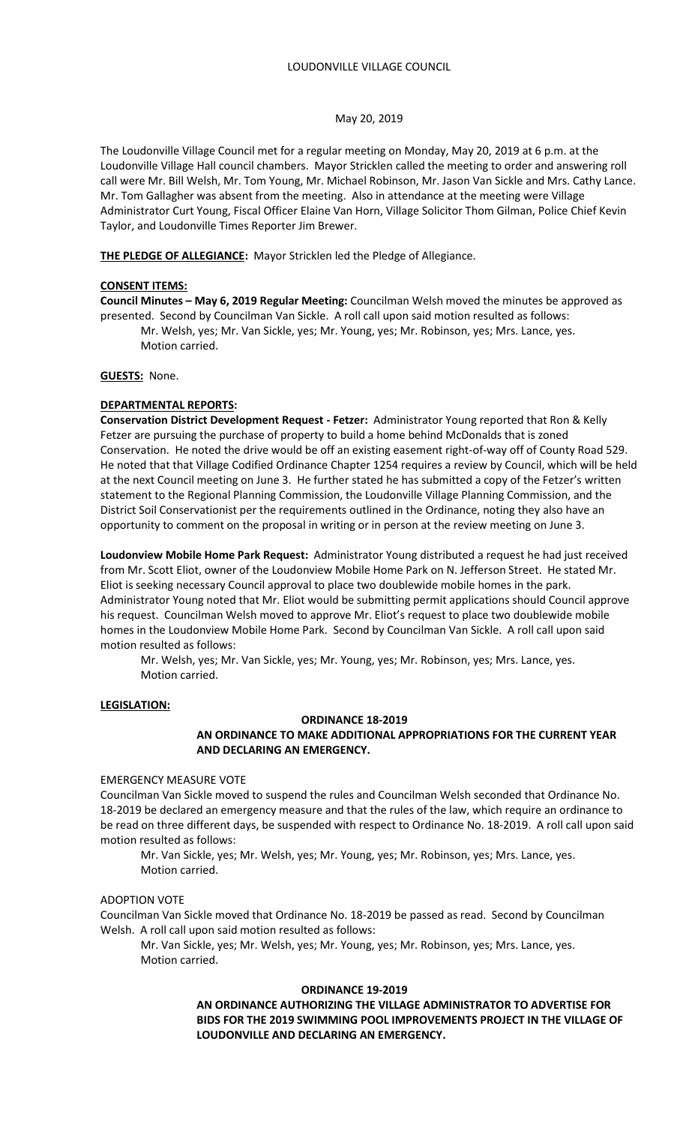### May 20, 2019

The Loudonville Village Council met for a regular meeting on Monday, May 20, 2019 at 6 p.m. at the Loudonville Village Hall council chambers. Mayor Stricklen called the meeting to order and answering roll call were Mr. Bill Welsh, Mr. Tom Young, Mr. Michael Robinson, Mr. Jason Van Sickle and Mrs. Cathy Lance. Mr. Tom Gallagher was absent from the meeting. Also in attendance at the meeting were Village Administrator Curt Young, Fiscal Officer Elaine Van Horn, Village Solicitor Thom Gilman, Police Chief Kevin Taylor, and Loudonville Times Reporter Jim Brewer.

**THE PLEDGE OF ALLEGIANCE:** Mayor Stricklen led the Pledge of Allegiance.

## **CONSENT ITEMS:**

**Council Minutes – May 6, 2019 Regular Meeting:** Councilman Welsh moved the minutes be approved as presented. Second by Councilman Van Sickle. A roll call upon said motion resulted as follows:

 Mr. Welsh, yes; Mr. Van Sickle, yes; Mr. Young, yes; Mr. Robinson, yes; Mrs. Lance, yes. Motion carried.

### **GUESTS:** None.

### **DEPARTMENTAL REPORTS:**

**Conservation District Development Request - Fetzer:** Administrator Young reported that Ron & Kelly Fetzer are pursuing the purchase of property to build a home behind McDonalds that is zoned Conservation. He noted the drive would be off an existing easement right-of-way off of County Road 529. He noted that that Village Codified Ordinance Chapter 1254 requires a review by Council, which will be held at the next Council meeting on June 3. He further stated he has submitted a copy of the Fetzer's written statement to the Regional Planning Commission, the Loudonville Village Planning Commission, and the District Soil Conservationist per the requirements outlined in the Ordinance, noting they also have an opportunity to comment on the proposal in writing or in person at the review meeting on June 3.

**Loudonview Mobile Home Park Request:** Administrator Young distributed a request he had just received from Mr. Scott Eliot, owner of the Loudonview Mobile Home Park on N. Jefferson Street. He stated Mr. Eliot is seeking necessary Council approval to place two doublewide mobile homes in the park. Administrator Young noted that Mr. Eliot would be submitting permit applications should Council approve his request. Councilman Welsh moved to approve Mr. Eliot's request to place two doublewide mobile homes in the Loudonview Mobile Home Park. Second by Councilman Van Sickle. A roll call upon said motion resulted as follows:

Mr. Welsh, yes; Mr. Van Sickle, yes; Mr. Young, yes; Mr. Robinson, yes; Mrs. Lance, yes. Motion carried.

## **LEGISLATION:**

### **ORDINANCE 18-2019**

## **AN ORDINANCE TO MAKE ADDITIONAL APPROPRIATIONS FOR THE CURRENT YEAR AND DECLARING AN EMERGENCY.**

### EMERGENCY MEASURE VOTE

Councilman Van Sickle moved to suspend the rules and Councilman Welsh seconded that Ordinance No. 18-2019 be declared an emergency measure and that the rules of the law, which require an ordinance to be read on three different days, be suspended with respect to Ordinance No. 18-2019. A roll call upon said motion resulted as follows:

Mr. Van Sickle, yes; Mr. Welsh, yes; Mr. Young, yes; Mr. Robinson, yes; Mrs. Lance, yes. Motion carried.

### ADOPTION VOTE

Councilman Van Sickle moved that Ordinance No. 18-2019 be passed as read. Second by Councilman Welsh. A roll call upon said motion resulted as follows:

Mr. Van Sickle, yes; Mr. Welsh, yes; Mr. Young, yes; Mr. Robinson, yes; Mrs. Lance, yes. Motion carried.

### **ORDINANCE 19-2019**

# **AN ORDINANCE AUTHORIZING THE VILLAGE ADMINISTRATOR TO ADVERTISE FOR BIDS FOR THE 2019 SWIMMING POOL IMPROVEMENTS PROJECT IN THE VILLAGE OF LOUDONVILLE AND DECLARING AN EMERGENCY.**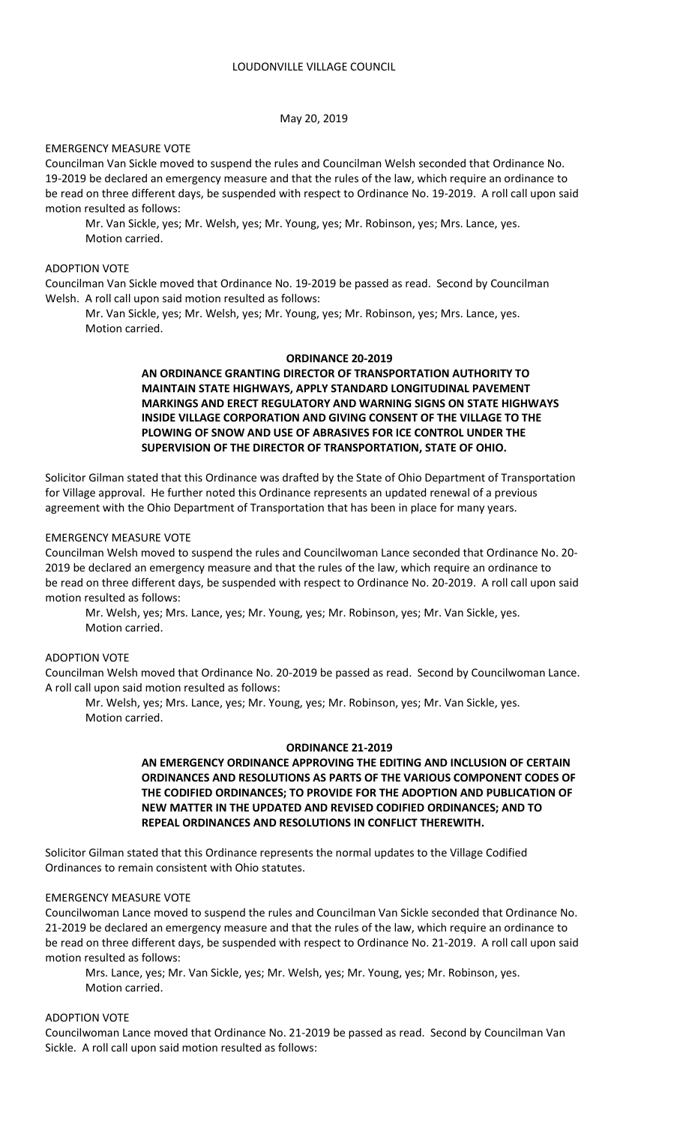## May 20, 2019

## EMERGENCY MEASURE VOTE

Councilman Van Sickle moved to suspend the rules and Councilman Welsh seconded that Ordinance No. 19-2019 be declared an emergency measure and that the rules of the law, which require an ordinance to be read on three different days, be suspended with respect to Ordinance No. 19-2019. A roll call upon said motion resulted as follows:

Mr. Van Sickle, yes; Mr. Welsh, yes; Mr. Young, yes; Mr. Robinson, yes; Mrs. Lance, yes. Motion carried.

## ADOPTION VOTE

Councilman Van Sickle moved that Ordinance No. 19-2019 be passed as read. Second by Councilman Welsh. A roll call upon said motion resulted as follows:

Mr. Van Sickle, yes; Mr. Welsh, yes; Mr. Young, yes; Mr. Robinson, yes; Mrs. Lance, yes. Motion carried.

### **ORDINANCE 20-2019**

**AN ORDINANCE GRANTING DIRECTOR OF TRANSPORTATION AUTHORITY TO MAINTAIN STATE HIGHWAYS, APPLY STANDARD LONGITUDINAL PAVEMENT MARKINGS AND ERECT REGULATORY AND WARNING SIGNS ON STATE HIGHWAYS INSIDE VILLAGE CORPORATION AND GIVING CONSENT OF THE VILLAGE TO THE PLOWING OF SNOW AND USE OF ABRASIVES FOR ICE CONTROL UNDER THE SUPERVISION OF THE DIRECTOR OF TRANSPORTATION, STATE OF OHIO.**

Solicitor Gilman stated that this Ordinance was drafted by the State of Ohio Department of Transportation for Village approval. He further noted this Ordinance represents an updated renewal of a previous agreement with the Ohio Department of Transportation that has been in place for many years.

## EMERGENCY MEASURE VOTE

Councilman Welsh moved to suspend the rules and Councilwoman Lance seconded that Ordinance No. 20- 2019 be declared an emergency measure and that the rules of the law, which require an ordinance to be read on three different days, be suspended with respect to Ordinance No. 20-2019. A roll call upon said motion resulted as follows:

Mr. Welsh, yes; Mrs. Lance, yes; Mr. Young, yes; Mr. Robinson, yes; Mr. Van Sickle, yes. Motion carried.

# ADOPTION VOTE

Councilman Welsh moved that Ordinance No. 20-2019 be passed as read. Second by Councilwoman Lance. A roll call upon said motion resulted as follows:

Mr. Welsh, yes; Mrs. Lance, yes; Mr. Young, yes; Mr. Robinson, yes; Mr. Van Sickle, yes. Motion carried.

### **ORDINANCE 21-2019**

**AN EMERGENCY ORDINANCE APPROVING THE EDITING AND INCLUSION OF CERTAIN ORDINANCES AND RESOLUTIONS AS PARTS OF THE VARIOUS COMPONENT CODES OF THE CODIFIED ORDINANCES; TO PROVIDE FOR THE ADOPTION AND PUBLICATION OF NEW MATTER IN THE UPDATED AND REVISED CODIFIED ORDINANCES; AND TO REPEAL ORDINANCES AND RESOLUTIONS IN CONFLICT THEREWITH.**

Solicitor Gilman stated that this Ordinance represents the normal updates to the Village Codified Ordinances to remain consistent with Ohio statutes.

### EMERGENCY MEASURE VOTE

Councilwoman Lance moved to suspend the rules and Councilman Van Sickle seconded that Ordinance No. 21-2019 be declared an emergency measure and that the rules of the law, which require an ordinance to be read on three different days, be suspended with respect to Ordinance No. 21-2019. A roll call upon said motion resulted as follows:

Mrs. Lance, yes; Mr. Van Sickle, yes; Mr. Welsh, yes; Mr. Young, yes; Mr. Robinson, yes. Motion carried.

## ADOPTION VOTE

Councilwoman Lance moved that Ordinance No. 21-2019 be passed as read. Second by Councilman Van Sickle. A roll call upon said motion resulted as follows: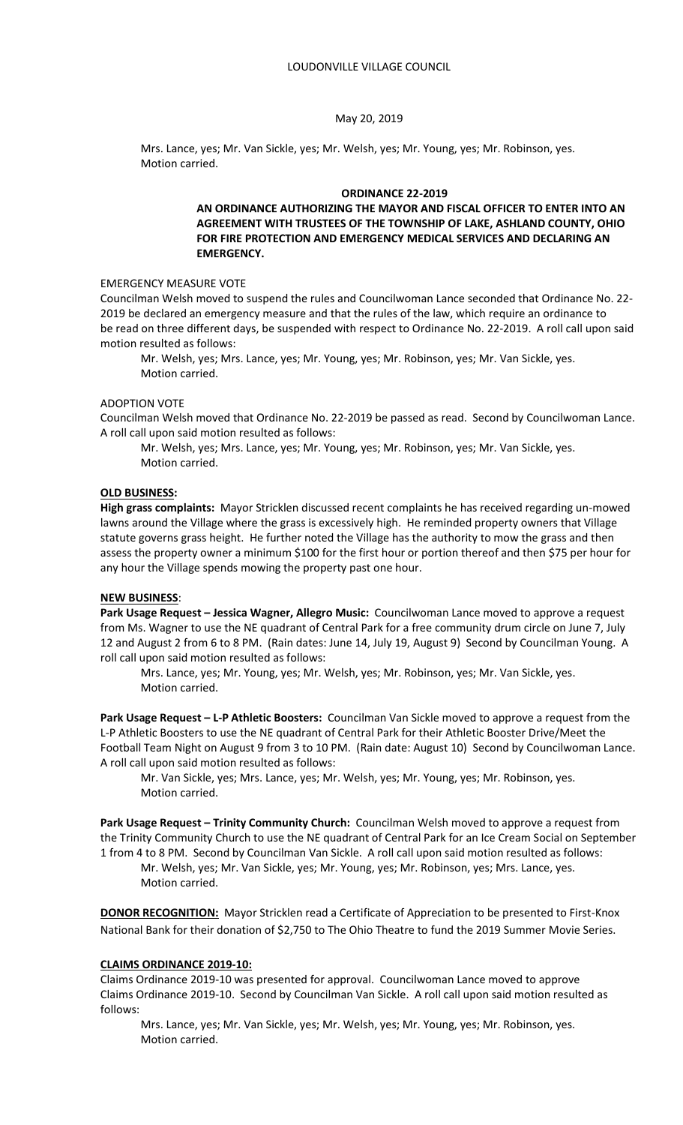### May 20, 2019

Mrs. Lance, yes; Mr. Van Sickle, yes; Mr. Welsh, yes; Mr. Young, yes; Mr. Robinson, yes. Motion carried.

### **ORDINANCE 22-2019**

# **AN ORDINANCE AUTHORIZING THE MAYOR AND FISCAL OFFICER TO ENTER INTO AN AGREEMENT WITH TRUSTEES OF THE TOWNSHIP OF LAKE, ASHLAND COUNTY, OHIO FOR FIRE PROTECTION AND EMERGENCY MEDICAL SERVICES AND DECLARING AN EMERGENCY.**

## EMERGENCY MEASURE VOTE

Councilman Welsh moved to suspend the rules and Councilwoman Lance seconded that Ordinance No. 22- 2019 be declared an emergency measure and that the rules of the law, which require an ordinance to be read on three different days, be suspended with respect to Ordinance No. 22-2019. A roll call upon said motion resulted as follows:

Mr. Welsh, yes; Mrs. Lance, yes; Mr. Young, yes; Mr. Robinson, yes; Mr. Van Sickle, yes. Motion carried.

## ADOPTION VOTE

Councilman Welsh moved that Ordinance No. 22-2019 be passed as read. Second by Councilwoman Lance. A roll call upon said motion resulted as follows:

Mr. Welsh, yes; Mrs. Lance, yes; Mr. Young, yes; Mr. Robinson, yes; Mr. Van Sickle, yes. Motion carried.

## **OLD BUSINESS:**

**High grass complaints:** Mayor Stricklen discussed recent complaints he has received regarding un-mowed lawns around the Village where the grass is excessively high. He reminded property owners that Village statute governs grass height. He further noted the Village has the authority to mow the grass and then assess the property owner a minimum \$100 for the first hour or portion thereof and then \$75 per hour for any hour the Village spends mowing the property past one hour.

#### **NEW BUSINESS**:

**Park Usage Request – Jessica Wagner, Allegro Music:** Councilwoman Lance moved to approve a request from Ms. Wagner to use the NE quadrant of Central Park for a free community drum circle on June 7, July 12 and August 2 from 6 to 8 PM. (Rain dates: June 14, July 19, August 9) Second by Councilman Young. A roll call upon said motion resulted as follows:

Mrs. Lance, yes; Mr. Young, yes; Mr. Welsh, yes; Mr. Robinson, yes; Mr. Van Sickle, yes. Motion carried.

**Park Usage Request – L-P Athletic Boosters:** Councilman Van Sickle moved to approve a request from the L-P Athletic Boosters to use the NE quadrant of Central Park for their Athletic Booster Drive/Meet the Football Team Night on August 9 from 3 to 10 PM. (Rain date: August 10) Second by Councilwoman Lance. A roll call upon said motion resulted as follows:

Mr. Van Sickle, yes; Mrs. Lance, yes; Mr. Welsh, yes; Mr. Young, yes; Mr. Robinson, yes. Motion carried.

**Park Usage Request – Trinity Community Church:** Councilman Welsh moved to approve a request from the Trinity Community Church to use the NE quadrant of Central Park for an Ice Cream Social on September 1 from 4 to 8 PM. Second by Councilman Van Sickle. A roll call upon said motion resulted as follows:

Mr. Welsh, yes; Mr. Van Sickle, yes; Mr. Young, yes; Mr. Robinson, yes; Mrs. Lance, yes. Motion carried.

**DONOR RECOGNITION:** Mayor Stricklen read a Certificate of Appreciation to be presented to First-Knox National Bank for their donation of \$2,750 to The Ohio Theatre to fund the 2019 Summer Movie Series.

## **CLAIMS ORDINANCE 2019-10:**

Claims Ordinance 2019-10 was presented for approval. Councilwoman Lance moved to approve Claims Ordinance 2019-10. Second by Councilman Van Sickle. A roll call upon said motion resulted as follows:

 Mrs. Lance, yes; Mr. Van Sickle, yes; Mr. Welsh, yes; Mr. Young, yes; Mr. Robinson, yes. Motion carried.